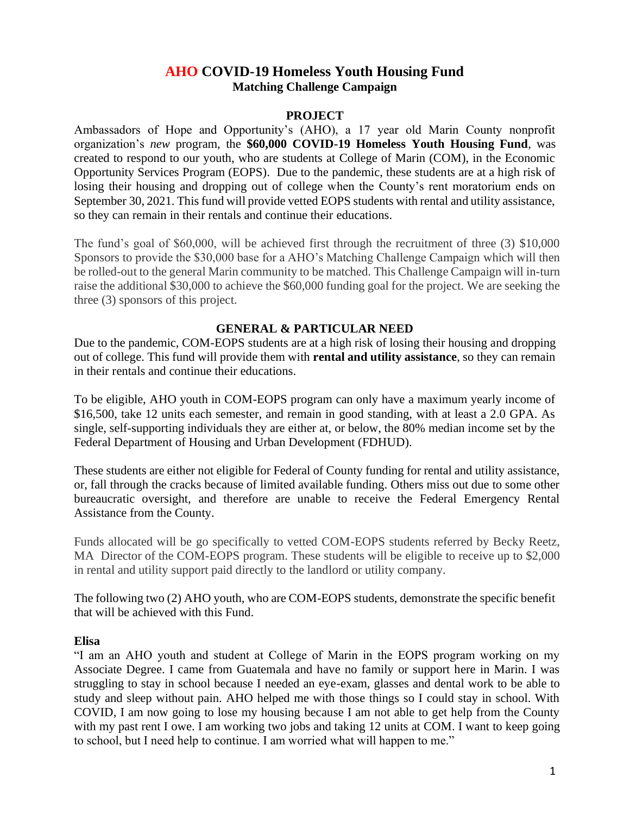# **AHO COVID-19 Homeless Youth Housing Fund Matching Challenge Campaign**

### **PROJECT**

Ambassadors of Hope and Opportunity's (AHO), a 17 year old Marin County nonprofit organization's *new* program, the **\$60,000 COVID-19 Homeless Youth Housing Fund**, was created to respond to our youth, who are students at College of Marin (COM), in the Economic Opportunity Services Program (EOPS). Due to the pandemic, these students are at a high risk of losing their housing and dropping out of college when the County's rent moratorium ends on September 30, 2021. This fund will provide vetted EOPS students with rental and utility assistance, so they can remain in their rentals and continue their educations.

The fund's goal of \$60,000, will be achieved first through the recruitment of three (3) \$10,000 Sponsors to provide the \$30,000 base for a AHO's Matching Challenge Campaign which will then be rolled-out to the general Marin community to be matched. This Challenge Campaign will in-turn raise the additional \$30,000 to achieve the \$60,000 funding goal for the project. We are seeking the three (3) sponsors of this project.

### **GENERAL & PARTICULAR NEED**

Due to the pandemic, COM-EOPS students are at a high risk of losing their housing and dropping out of college. This fund will provide them with **rental and utility assistance**, so they can remain in their rentals and continue their educations.

To be eligible, AHO youth in COM-EOPS program can only have a maximum yearly income of \$16,500, take 12 units each semester, and remain in good standing, with at least a 2.0 GPA. As single, self-supporting individuals they are either at, or below, the 80% median income set by the Federal Department of Housing and Urban Development (FDHUD).

These students are either not eligible for Federal of County funding for rental and utility assistance, or, fall through the cracks because of limited available funding. Others miss out due to some other bureaucratic oversight, and therefore are unable to receive the Federal Emergency Rental Assistance from the County.

Funds allocated will be go specifically to vetted COM-EOPS students referred by Becky Reetz, MA Director of the COM-EOPS program. These students will be eligible to receive up to \$2,000 in rental and utility support paid directly to the landlord or utility company.

The following two (2) AHO youth, who are COM-EOPS students, demonstrate the specific benefit that will be achieved with this Fund.

### **Elisa**

"I am an AHO youth and student at College of Marin in the EOPS program working on my Associate Degree. I came from Guatemala and have no family or support here in Marin. I was struggling to stay in school because I needed an eye-exam, glasses and dental work to be able to study and sleep without pain. AHO helped me with those things so I could stay in school. With COVID, I am now going to lose my housing because I am not able to get help from the County with my past rent I owe. I am working two jobs and taking 12 units at COM. I want to keep going to school, but I need help to continue. I am worried what will happen to me."